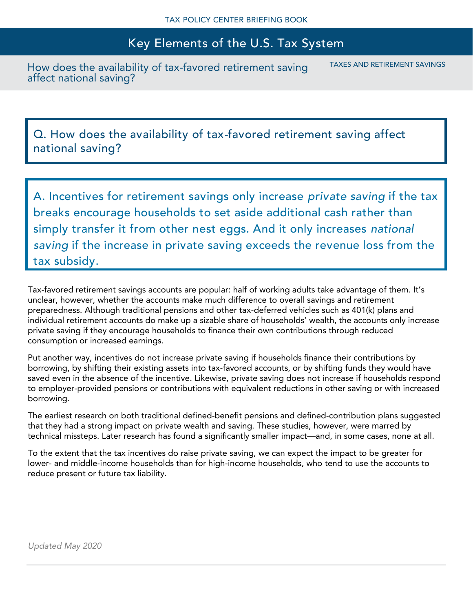## Key Elements of the U.S. Tax System

How does the availability of tax-favored retirement saving affect national saving?

TAXES AND RETIREMENT SAVINGS

Q. How does the availability of tax-favored retirement saving affect national saving?

A. Incentives for retirement savings only increase *private saving* if the tax breaks encourage households to set aside additional cash rather than simply transfer it from other nest eggs. And it only increases *national saving* if the increase in private saving exceeds the revenue loss from the tax subsidy.

Tax-favored retirement savings accounts are popular: half of working adults take advantage of them. It's unclear, however, whether the accounts make much difference to overall savings and retirement preparedness. Although traditional pensions and other tax-deferred vehicles such as 401(k) plans and individual retirement accounts do make up a sizable share of households' wealth, the accounts only increase private saving if they encourage households to finance their own contributions through reduced consumption or increased earnings.

Put another way, incentives do not increase private saving if households finance their contributions by borrowing, by shifting their existing assets into tax-favored accounts, or by shifting funds they would have saved even in the absence of the incentive. Likewise, private saving does not increase if households respond to employer-provided pensions or contributions with equivalent reductions in other saving or with increased borrowing.

The earliest research on both traditional defined-benefit pensions and defined-contribution plans suggested that they had a strong impact on private wealth and saving. These studies, however, were marred by technical missteps. Later research has found a significantly smaller impact—and, in some cases, none at all.

To the extent that the tax incentives do raise private saving, we can expect the impact to be greater for lower- and middle-income households than for high-income households, who tend to use the accounts to reduce present or future tax liability.

*Updated May 2020*